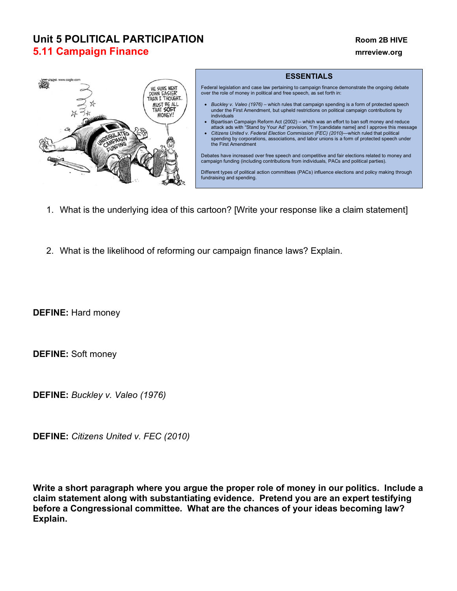# **Unit 5 POLITICAL PARTICIPATION Room 2B HIVE 5.11 Campaign Finance manufacture of the contract of the contract of the contract of the contract of the contract of the contract of the contract of the contract of the contract of the contract of the contract of the co**



#### **ESSENTIALS**

Federal legislation and case law pertaining to campaign finance demonstrate the ongoing debate over the role of money in political and free speech, as set forth in:

- *Buckley v. Valeo (1976)*  which rules that campaign spending is a form of protected speech under the First Amendment, but upheld restrictions on political campaign contributions by individuals
- Bipartisan Campaign Reform Act (2002) which was an effort to ban soft money and reduce attack ads with "Stand by Your Ad" provision, "I'm [candidate name] and I approve this message
- *Citizens United v. Federal Election Commission (FEC) (2010)*—which ruled that political spending by corporations, associations, and labor unions is a form of protected speech under the First Amendment

Debates have increased over free speech and competitive and fair elections related to money and campaign funding (including contributions from individuals, PACs and political parties).

Different types of political action committees (PACs) influence elections and policy making through fundraising and spending.

- 1. What is the underlying idea of this cartoon? [Write your response like a claim statement]
- 2. What is the likelihood of reforming our campaign finance laws? Explain.

**DEFINE:** Hard money

**DEFINE:** Soft money

**DEFINE:** *Buckley v. Valeo (1976)*

**DEFINE:** *Citizens United v. FEC (2010)*

**Write a short paragraph where you argue the proper role of money in our politics. Include a claim statement along with substantiating evidence. Pretend you are an expert testifying before a Congressional committee. What are the chances of your ideas becoming law? Explain.**